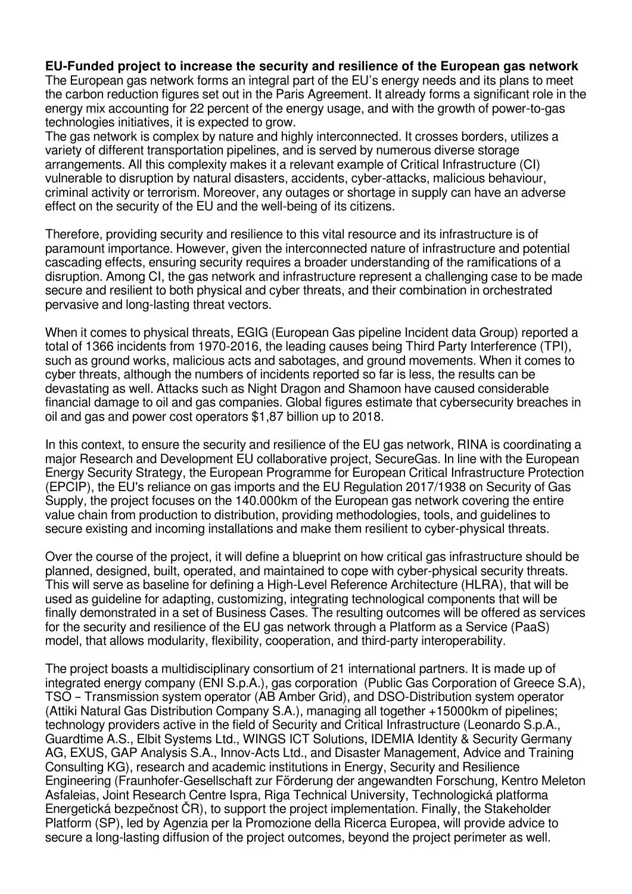## **EU-Funded project to increase the security and resilience of the European gas network**

The European gas network forms an integral part of the EU's energy needs and its plans to meet the carbon reduction figures set out in the Paris Agreement. It already forms a significant role in the energy mix accounting for 22 percent of the energy usage, and with the growth of power-to-gas technologies initiatives, it is expected to grow.

The gas network is complex by nature and highly interconnected. It crosses borders, utilizes a variety of different transportation pipelines, and is served by numerous diverse storage arrangements. All this complexity makes it a relevant example of Critical Infrastructure (CI) vulnerable to disruption by natural disasters, accidents, cyber-attacks, malicious behaviour, criminal activity or terrorism. Moreover, any outages or shortage in supply can have an adverse effect on the security of the EU and the well-being of its citizens.

Therefore, providing security and resilience to this vital resource and its infrastructure is of paramount importance. However, given the interconnected nature of infrastructure and potential cascading effects, ensuring security requires a broader understanding of the ramifications of a disruption. Among CI, the gas network and infrastructure represent a challenging case to be made secure and resilient to both physical and cyber threats, and their combination in orchestrated pervasive and long-lasting threat vectors.

When it comes to physical threats, EGIG (European Gas pipeline Incident data Group) reported a total of 1366 incidents from 1970-2016, the leading causes being Third Party Interference (TPI), such as ground works, malicious acts and sabotages, and ground movements. When it comes to cyber threats, although the numbers of incidents reported so far is less, the results can be devastating as well. Attacks such as Night Dragon and Shamoon have caused considerable financial damage to oil and gas companies. Global figures estimate that cybersecurity breaches in oil and gas and power cost operators \$1,87 billion up to 2018.

In this context, to ensure the security and resilience of the EU gas network, RINA is coordinating a major Research and Development EU collaborative project, SecureGas. In line with the European Energy Security Strategy, the European Programme for European Critical Infrastructure Protection (EPCIP), the EU's reliance on gas imports and the EU Regulation 2017/1938 on Security of Gas Supply, the project focuses on the 140.000km of the European gas network covering the entire value chain from production to distribution, providing methodologies, tools, and guidelines to secure existing and incoming installations and make them resilient to cyber-physical threats.

Over the course of the project, it will define a blueprint on how critical gas infrastructure should be planned, designed, built, operated, and maintained to cope with cyber-physical security threats. This will serve as baseline for defining a High-Level Reference Architecture (HLRA), that will be used as guideline for adapting, customizing, integrating technological components that will be finally demonstrated in a set of Business Cases. The resulting outcomes will be offered as services for the security and resilience of the EU gas network through a Platform as a Service (PaaS) model, that allows modularity, flexibility, cooperation, and third-party interoperability.

The project boasts a multidisciplinary consortium of 21 international partners. It is made up of integrated energy company (ENI S.p.A.), gas corporation (Public Gas Corporation of Greece S.A), TSO – Transmission system operator (AB Amber Grid), and DSO-Distribution system operator (Attiki Natural Gas Distribution Company S.A.), managing all together +15000km of pipelines; technology providers active in the field of Security and Critical Infrastructure (Leonardo S.p.A., Guardtime A.S., Elbit Systems Ltd., WINGS ICT Solutions, IDEMIA Identity & Security Germany AG, EXUS, GAP Analysis S.A., Innov-Acts Ltd., and Disaster Management, Advice and Training Consulting KG), research and academic institutions in Energy, Security and Resilience Engineering (Fraunhofer-Gesellschaft zur Förderung der angewandten Forschung, Kentro Meleton Asfaleias, Joint Research Centre Ispra, Riga Technical University, Technologická platforma Energetická bezpečnost ČR), to support the project implementation. Finally, the Stakeholder Platform (SP), led by Agenzia per la Promozione della Ricerca Europea, will provide advice to secure a long-lasting diffusion of the project outcomes, beyond the project perimeter as well.